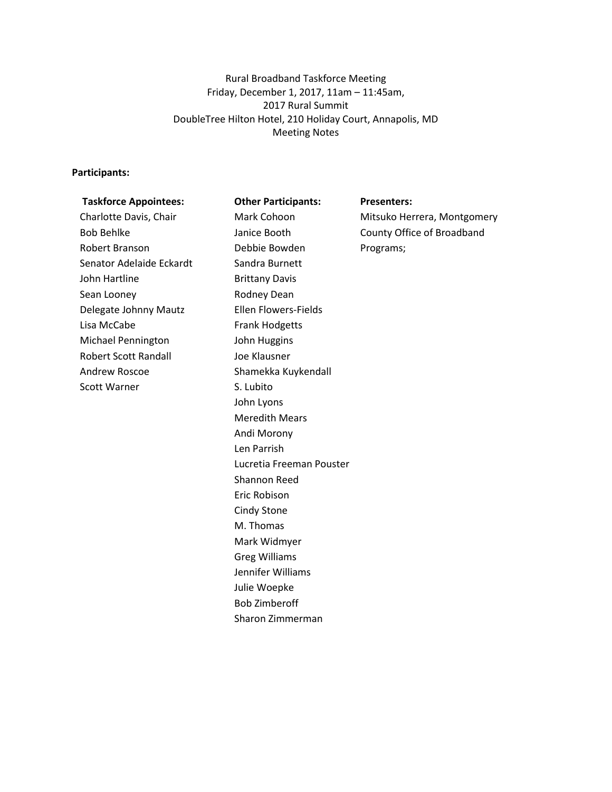Rural Broadband Taskforce Meeting Friday, December 1, 2017, 11am – 11:45am, 2017 Rural Summit DoubleTree Hilton Hotel, 210 Holiday Court, Annapolis, MD Meeting Notes

## **Participants:**

| <b>Taskforce Appointees:</b> | <b>Other Participants:</b>  | <b>Presenters:</b>          |
|------------------------------|-----------------------------|-----------------------------|
| Charlotte Davis, Chair       | Mark Cohoon                 | Mitsuko Herrera, Montgomery |
| <b>Bob Behlke</b>            | Janice Booth                | County Office of Broadband  |
| Robert Branson               | Debbie Bowden               | Programs;                   |
| Senator Adelaide Eckardt     | Sandra Burnett              |                             |
| John Hartline                | <b>Brittany Davis</b>       |                             |
| Sean Looney                  | Rodney Dean                 |                             |
| Delegate Johnny Mautz        | <b>Ellen Flowers-Fields</b> |                             |
| Lisa McCabe                  | <b>Frank Hodgetts</b>       |                             |
| <b>Michael Pennington</b>    | John Huggins                |                             |
| <b>Robert Scott Randall</b>  | Joe Klausner                |                             |
| Andrew Roscoe                | Shamekka Kuykendall         |                             |
| <b>Scott Warner</b>          | S. Lubito                   |                             |
|                              | John Lyons                  |                             |
|                              | <b>Meredith Mears</b>       |                             |
|                              | Andi Morony                 |                             |
|                              | Len Parrish                 |                             |
|                              | Lucretia Freeman Pouster    |                             |
|                              | Shannon Reed                |                             |
|                              | Eric Robison                |                             |
|                              | Cindy Stone                 |                             |
|                              | M. Thomas                   |                             |
|                              | Mark Widmyer                |                             |
|                              | <b>Greg Williams</b>        |                             |
|                              | Jennifer Williams           |                             |
|                              | Julie Woepke                |                             |
|                              | <b>Bob Zimberoff</b>        |                             |
|                              | Sharon Zimmerman            |                             |